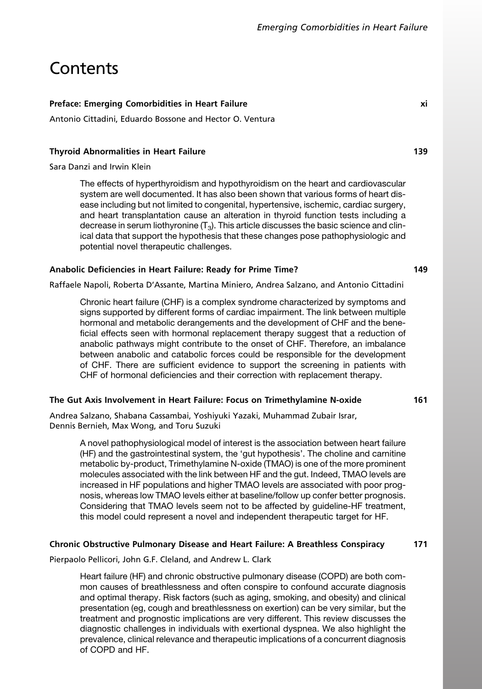# **Contents**

## Preface: Emerging Comorbidities in Heart Failure ximage of the state of the state of the state of the state of

Antonio Cittadini, Eduardo Bossone and Hector O. Ventura

#### Thyroid Abnormalities in Heart Failure 139

Sara Danzi and Irwin Klein

The effects of hyperthyroidism and hypothyroidism on the heart and cardiovascular system are well documented. It has also been shown that various forms of heart disease including but not limited to congenital, hypertensive, ischemic, cardiac surgery, and heart transplantation cause an alteration in thyroid function tests including a decrease in serum liothyronine  $(T_3)$ . This article discusses the basic science and clinical data that support the hypothesis that these changes pose pathophysiologic and potential novel therapeutic challenges.

#### Anabolic Deficiencies in Heart Failure: Ready for Prime Time? 149

Raffaele Napoli, Roberta D'Assante, Martina Miniero, Andrea Salzano, and Antonio Cittadini

Chronic heart failure (CHF) is a complex syndrome characterized by symptoms and signs supported by different forms of cardiac impairment. The link between multiple hormonal and metabolic derangements and the development of CHF and the beneficial effects seen with hormonal replacement therapy suggest that a reduction of anabolic pathways might contribute to the onset of CHF. Therefore, an imbalance between anabolic and catabolic forces could be responsible for the development of CHF. There are sufficient evidence to support the screening in patients with CHF of hormonal deficiencies and their correction with replacement therapy.

# The Gut Axis Involvement in Heart Failure: Focus on Trimethylamine N-oxide 161

Andrea Salzano, Shabana Cassambai, Yoshiyuki Yazaki, Muhammad Zubair Israr, Dennis Bernieh, Max Wong, and Toru Suzuki

A novel pathophysiological model of interest is the association between heart failure (HF) and the gastrointestinal system, the 'gut hypothesis'. The choline and carnitine metabolic by-product, Trimethylamine N-oxide (TMAO) is one of the more prominent molecules associated with the link between HF and the gut. Indeed, TMAO levels are increased in HF populations and higher TMAO levels are associated with poor prognosis, whereas low TMAO levels either at baseline/follow up confer better prognosis. Considering that TMAO levels seem not to be affected by guideline-HF treatment, this model could represent a novel and independent therapeutic target for HF.

#### Chronic Obstructive Pulmonary Disease and Heart Failure: A Breathless Conspiracy 171

Pierpaolo Pellicori, John G.F. Cleland, and Andrew L. Clark

Heart failure (HF) and chronic obstructive pulmonary disease (COPD) are both common causes of breathlessness and often conspire to confound accurate diagnosis and optimal therapy. Risk factors (such as aging, smoking, and obesity) and clinical presentation (eg, cough and breathlessness on exertion) can be very similar, but the treatment and prognostic implications are very different. This review discusses the diagnostic challenges in individuals with exertional dyspnea. We also highlight the prevalence, clinical relevance and therapeutic implications of a concurrent diagnosis of COPD and HF.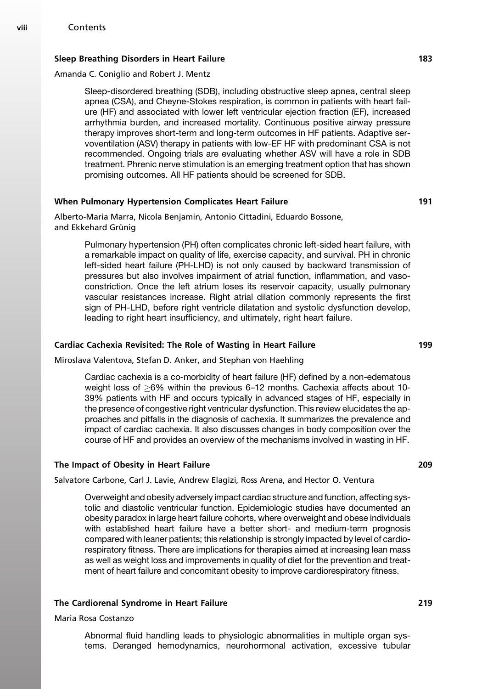# Sleep Breathing Disorders in Heart Failure 1833 (1839) 1833

#### Amanda C. Coniglio and Robert J. Mentz

Sleep-disordered breathing (SDB), including obstructive sleep apnea, central sleep apnea (CSA), and Cheyne-Stokes respiration, is common in patients with heart failure (HF) and associated with lower left ventricular ejection fraction (EF), increased arrhythmia burden, and increased mortality. Continuous positive airway pressure therapy improves short-term and long-term outcomes in HF patients. Adaptive servoventilation (ASV) therapy in patients with low-EF HF with predominant CSA is not recommended. Ongoing trials are evaluating whether ASV will have a role in SDB treatment. Phrenic nerve stimulation is an emerging treatment option that has shown promising outcomes. All HF patients should be screened for SDB.

#### When Pulmonary Hypertension Complicates Heart Failure 191

#### Alberto-Maria Marra, Nicola Benjamin, Antonio Cittadini, Eduardo Bossone, and Ekkehard Grünig

Pulmonary hypertension (PH) often complicates chronic left-sided heart failure, with a remarkable impact on quality of life, exercise capacity, and survival. PH in chronic left-sided heart failure (PH-LHD) is not only caused by backward transmission of pressures but also involves impairment of atrial function, inflammation, and vasoconstriction. Once the left atrium loses its reservoir capacity, usually pulmonary vascular resistances increase. Right atrial dilation commonly represents the first sign of PH-LHD, before right ventricle dilatation and systolic dysfunction develop, leading to right heart insufficiency, and ultimately, right heart failure.

#### Cardiac Cachexia Revisited: The Role of Wasting in Heart Failure 199

Miroslava Valentova, Stefan D. Anker, and Stephan von Haehling

Cardiac cachexia is a co-morbidity of heart failure (HF) defined by a non-edematous weight loss of  $>6\%$  within the previous 6–12 months. Cachexia affects about 10-39% patients with HF and occurs typically in advanced stages of HF, especially in the presence of congestive right ventricular dysfunction. This review elucidates the approaches and pitfalls in the diagnosis of cachexia. It summarizes the prevalence and impact of cardiac cachexia. It also discusses changes in body composition over the course of HF and provides an overview of the mechanisms involved in wasting in HF.

#### The Impact of Obesity in Heart Failure 209

Salvatore Carbone, Carl J. Lavie, Andrew Elagizi, Ross Arena, and Hector O. Ventura

Overweight and obesity adversely impact cardiac structure and function, affecting systolic and diastolic ventricular function. Epidemiologic studies have documented an obesity paradox in large heart failure cohorts, where overweight and obese individuals with established heart failure have a better short- and medium-term prognosis compared with leaner patients; this relationship is strongly impacted by level of cardiorespiratory fitness. There are implications for therapies aimed at increasing lean mass as well as weight loss and improvements in quality of diet for the prevention and treatment of heart failure and concomitant obesity to improve cardiorespiratory fitness.

#### The Cardiorenal Syndrome in Heart Failure 219

# Maria Rosa Costanzo

Abnormal fluid handling leads to physiologic abnormalities in multiple organ systems. Deranged hemodynamics, neurohormonal activation, excessive tubular